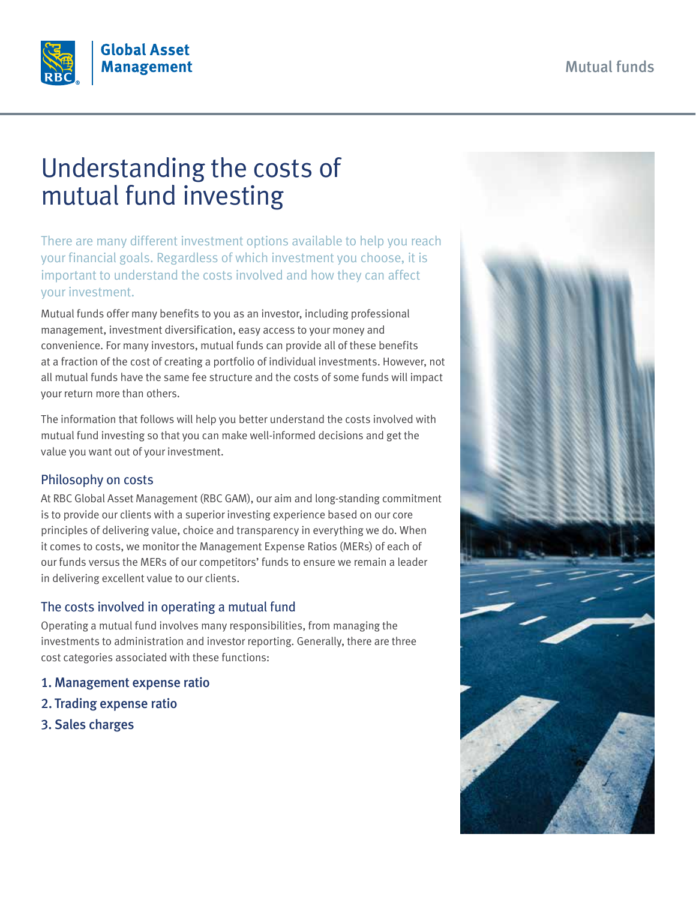

# Understanding the costs of mutual fund investing

There are many different investment options available to help you reach your financial goals. Regardless of which investment you choose, it is important to understand the costs involved and how they can affect your investment.

Mutual funds offer many benefits to you as an investor, including professional management, investment diversification, easy access to your money and convenience. For many investors, mutual funds can provide all of these benefits at a fraction of the cost of creating a portfolio of individual investments. However, not all mutual funds have the same fee structure and the costs of some funds will impact your return more than others.

The information that follows will help you better understand the costs involved with mutual fund investing so that you can make well-informed decisions and get the value you want out of your investment.

# Philosophy on costs

At RBC Global Asset Management (RBC GAM), our aim and long-standing commitment is to provide our clients with a superior investing experience based on our core principles of delivering value, choice and transparency in everything we do. When it comes to costs, we monitor the Management Expense Ratios (MERs) of each of our funds versus the MERs of our competitors' funds to ensure we remain a leader in delivering excellent value to our clients.

# The costs involved in operating a mutual fund

Operating a mutual fund involves many responsibilities, from managing the investments to administration and investor reporting. Generally, there are three cost categories associated with these functions:

- 1. Management expense ratio
- 2. Trading expense ratio
- 3. Sales charges

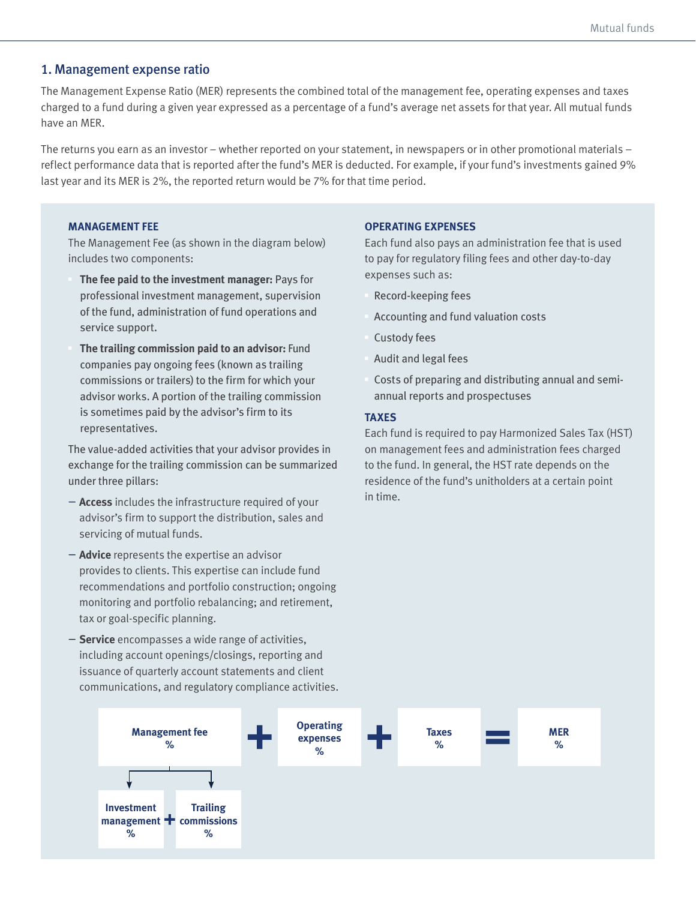# 1. Management expense ratio

The Management Expense Ratio (MER) represents the combined total of the management fee, operating expenses and taxes charged to a fund during a given year expressed as a percentage of a fund's average net assets for that year. All mutual funds have an MER.

The returns you earn as an investor – whether reported on your statement, in newspapers or in other promotional materials – reflect performance data that is reported after the fund's MER is deducted. For example, if your fund's investments gained 9% last year and its MER is 2%, the reported return would be 7% for that time period.

#### **MANAGEMENT FEE**

The Management Fee (as shown in the diagram below) includes two components:

- § **The fee paid to the investment manager:** Pays for professional investment management, supervision of the fund, administration of fund operations and service support.
- § **The trailing commission paid to an advisor:** Fund companies pay ongoing fees (known as trailing commissions or trailers) to the firm for which your advisor works. A portion of the trailing commission is sometimes paid by the advisor's firm to its representatives.

The value-added activities that your advisor provides in exchange for the trailing commission can be summarized under three pillars:

- **Access** includes the infrastructure required of your advisor's firm to support the distribution, sales and servicing of mutual funds.
- **Advice** represents the expertise an advisor provides to clients. This expertise can include fund recommendations and portfolio construction; ongoing monitoring and portfolio rebalancing; and retirement, tax or goal-specific planning.
- **Service** encompasses a wide range of activities, including account openings/closings, reporting and issuance of quarterly account statements and client communications, and regulatory compliance activities.

#### **OPERATING EXPENSES**

Each fund also pays an administration fee that is used to pay for regulatory filing fees and other day-to-day expenses such as:

- § Record-keeping fees
- § Accounting and fund valuation costs
- § Custody fees
- § Audit and legal fees
- § Costs of preparing and distributing annual and semiannual reports and prospectuses

#### **TAXES**

Each fund is required to pay Harmonized Sales Tax (HST) on management fees and administration fees charged to the fund. In general, the HST rate depends on the residence of the fund's unitholders at a certain point in time.

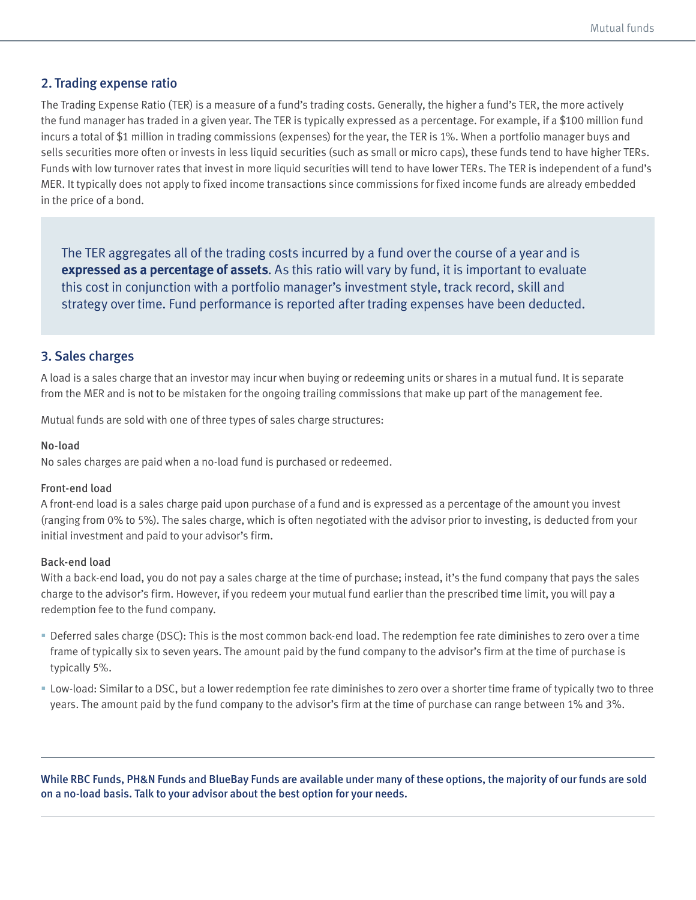## 2. Trading expense ratio

The Trading Expense Ratio (TER) is a measure of a fund's trading costs. Generally, the higher a fund's TER, the more actively the fund manager has traded in a given year. The TER is typically expressed as a percentage. For example, if a \$100 million fund incurs a total of \$1 million in trading commissions (expenses) for the year, the TER is 1%. When a portfolio manager buys and sells securities more often or invests in less liquid securities (such as small or micro caps), these funds tend to have higher TERs. Funds with low turnover rates that invest in more liquid securities will tend to have lower TERs. The TER is independent of a fund's MER. It typically does not apply to fixed income transactions since commissions for fixed income funds are already embedded in the price of a bond.

The TER aggregates all of the trading costs incurred by a fund over the course of a year and is **expressed as a percentage of assets**. As this ratio will vary by fund, it is important to evaluate this cost in conjunction with a portfolio manager's investment style, track record, skill and strategy over time. Fund performance is reported after trading expenses have been deducted.

# 3. Sales charges

A load is a sales charge that an investor may incur when buying or redeeming units or shares in a mutual fund. It is separate from the MER and is not to be mistaken for the ongoing trailing commissions that make up part of the management fee.

Mutual funds are sold with one of three types of sales charge structures:

#### No-load

No sales charges are paid when a no-load fund is purchased or redeemed.

#### Front-end load

A front-end load is a sales charge paid upon purchase of a fund and is expressed as a percentage of the amount you invest (ranging from 0% to 5%). The sales charge, which is often negotiated with the advisor prior to investing, is deducted from your initial investment and paid to your advisor's firm.

#### Back-end load

With a back-end load, you do not pay a sales charge at the time of purchase; instead, it's the fund company that pays the sales charge to the advisor's firm. However, if you redeem your mutual fund earlier than the prescribed time limit, you will pay a redemption fee to the fund company.

- § Deferred sales charge (DSC): This is the most common back-end load. The redemption fee rate diminishes to zero over a time frame of typically six to seven years. The amount paid by the fund company to the advisor's firm at the time of purchase is typically 5%.
- § Low-load: Similar to a DSC, but a lower redemption fee rate diminishes to zero over a shorter time frame of typically two to three years. The amount paid by the fund company to the advisor's firm at the time of purchase can range between 1% and 3%.

While RBC Funds, PH&N Funds and BlueBay Funds are available under many of these options, the majority of our funds are sold on a no-load basis. Talk to your advisor about the best option for your needs.